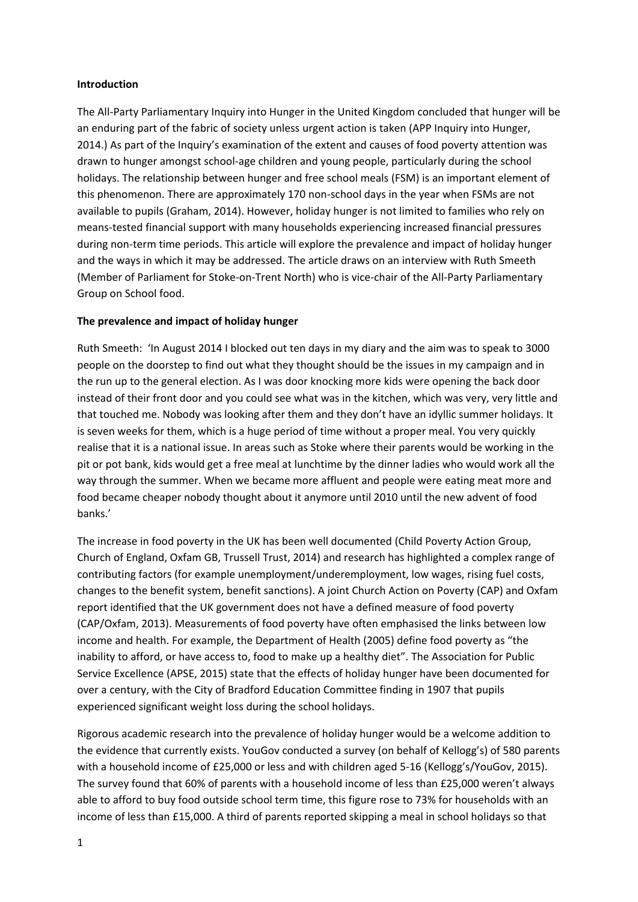### **Introduction**

The All-Party Parliamentary Inquiry into Hunger in the United Kingdom concluded that hunger will be an enduring part of the fabric of society unless urgent action is taken (APP Inquiry into Hunger, 2014.) As part of the Inquiry's examination of the extent and causes of food poverty attention was drawn to hunger amongst school-age children and young people, particularly during the school holidays. The relationship between hunger and free school meals (FSM) is an important element of this phenomenon. There are approximately 170 non-school days in the year when FSMs are not available to pupils (Graham, 2014). However, holiday hunger is not limited to families who rely on means-tested financial support with many households experiencing increased financial pressures during non-term time periods. This article will explore the prevalence and impact of holiday hunger and the ways in which it may be addressed. The article draws on an interview with Ruth Smeeth (Member of Parliament for Stoke-on-Trent North) who is vice-chair of the All-Party Parliamentary Group on School food.

## **The prevalence and impact of holiday hunger**

Ruth Smeeth: 'In August 2014 I blocked out ten days in my diary and the aim was to speak to 3000 people on the doorstep to find out what they thought should be the issues in my campaign and in the run up to the general election. As I was door knocking more kids were opening the back door instead of their front door and you could see what was in the kitchen, which was very, very little and that touched me. Nobody was looking after them and they don't have an idyllic summer holidays. It is seven weeks for them, which is a huge period of time without a proper meal. You very quickly realise that it is a national issue. In areas such as Stoke where their parents would be working in the pit or pot bank, kids would get a free meal at lunchtime by the dinner ladies who would work all the way through the summer. When we became more affluent and people were eating meat more and food became cheaper nobody thought about it anymore until 2010 until the new advent of food banks.'

The increase in food poverty in the UK has been well documented (Child Poverty Action Group, Church of England, Oxfam GB, Trussell Trust, 2014) and research has highlighted a complex range of contributing factors (for example unemployment/underemployment, low wages, rising fuel costs, changes to the benefit system, benefit sanctions). A joint Church Action on Poverty (CAP) and Oxfam report identified that the UK government does not have a defined measure of food poverty (CAP/Oxfam, 2013). Measurements of food poverty have often emphasised the links between low income and health. For example, the Department of Health (2005) define food poverty as "the inability to afford, or have access to, food to make up a healthy diet". The Association for Public Service Excellence (APSE, 2015) state that the effects of holiday hunger have been documented for over a century, with the City of Bradford Education Committee finding in 1907 that pupils experienced significant weight loss during the school holidays.

Rigorous academic research into the prevalence of holiday hunger would be a welcome addition to the evidence that currently exists. YouGov conducted a survey (on behalf of Kellogg's) of 580 parents with a household income of £25,000 or less and with children aged 5-16 (Kellogg's/YouGov, 2015). The survey found that 60% of parents with a household income of less than £25,000 weren't always able to afford to buy food outside school term time, this figure rose to 73% for households with an income of less than £15,000. A third of parents reported skipping a meal in school holidays so that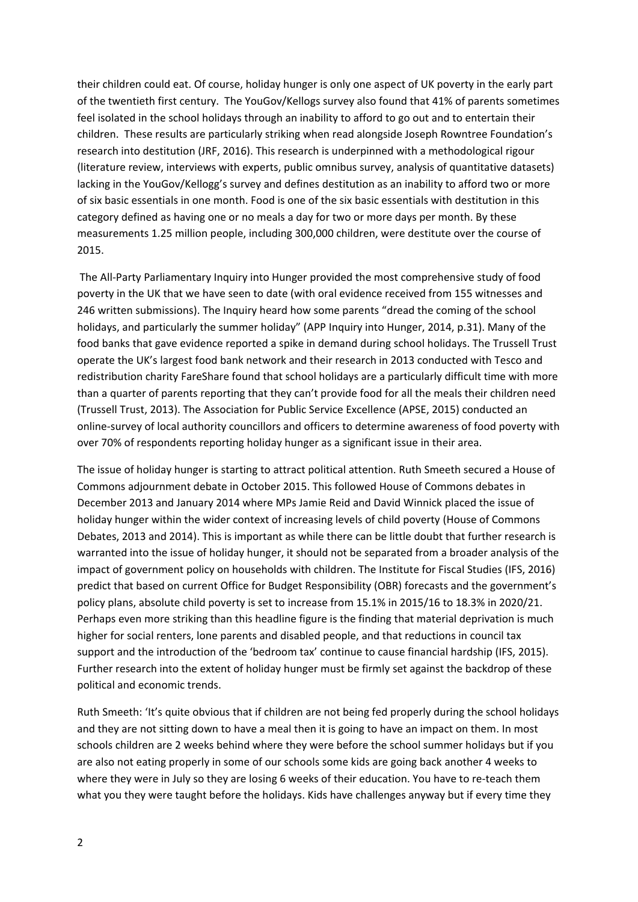their children could eat. Of course, holiday hunger is only one aspect of UK poverty in the early part of the twentieth first century. The YouGov/Kellogs survey also found that 41% of parents sometimes feel isolated in the school holidays through an inability to afford to go out and to entertain their children. These results are particularly striking when read alongside Joseph Rowntree Foundation's research into destitution (JRF, 2016). This research is underpinned with a methodological rigour (literature review, interviews with experts, public omnibus survey, analysis of quantitative datasets) lacking in the YouGov/Kellogg's survey and defines destitution as an inability to afford two or more of six basic essentials in one month. Food is one of the six basic essentials with destitution in this category defined as having one or no meals a day for two or more days per month. By these measurements 1.25 million people, including 300,000 children, were destitute over the course of 2015.

The All-Party Parliamentary Inquiry into Hunger provided the most comprehensive study of food poverty in the UK that we have seen to date (with oral evidence received from 155 witnesses and 246 written submissions). The Inquiry heard how some parents "dread the coming of the school holidays, and particularly the summer holiday" (APP Inquiry into Hunger, 2014, p.31). Many of the food banks that gave evidence reported a spike in demand during school holidays. The Trussell Trust operate the UK's largest food bank network and their research in 2013 conducted with Tesco and redistribution charity FareShare found that school holidays are a particularly difficult time with more than a quarter of parents reporting that they can't provide food for all the meals their children need (Trussell Trust, 2013). The Association for Public Service Excellence (APSE, 2015) conducted an online-survey of local authority councillors and officers to determine awareness of food poverty with over 70% of respondents reporting holiday hunger as a significant issue in their area.

The issue of holiday hunger is starting to attract political attention. Ruth Smeeth secured a House of Commons adjournment debate in October 2015. This followed House of Commons debates in December 2013 and January 2014 where MPs Jamie Reid and David Winnick placed the issue of holiday hunger within the wider context of increasing levels of child poverty (House of Commons Debates, 2013 and 2014). This is important as while there can be little doubt that further research is warranted into the issue of holiday hunger, it should not be separated from a broader analysis of the impact of government policy on households with children. The Institute for Fiscal Studies (IFS, 2016) predict that based on current Office for Budget Responsibility (OBR) forecasts and the government's policy plans, absolute child poverty is set to increase from 15.1% in 2015/16 to 18.3% in 2020/21. Perhaps even more striking than this headline figure is the finding that material deprivation is much higher for social renters, lone parents and disabled people, and that reductions in council tax support and the introduction of the 'bedroom tax' continue to cause financial hardship (IFS, 2015). Further research into the extent of holiday hunger must be firmly set against the backdrop of these political and economic trends.

Ruth Smeeth: 'It's quite obvious that if children are not being fed properly during the school holidays and they are not sitting down to have a meal then it is going to have an impact on them. In most schools children are 2 weeks behind where they were before the school summer holidays but if you are also not eating properly in some of our schools some kids are going back another 4 weeks to where they were in July so they are losing 6 weeks of their education. You have to re-teach them what you they were taught before the holidays. Kids have challenges anyway but if every time they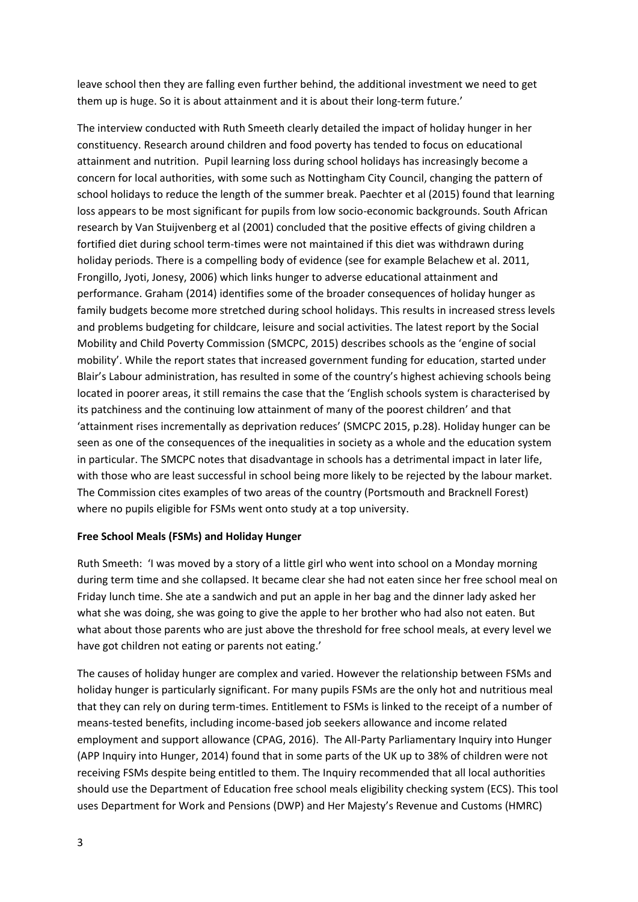leave school then they are falling even further behind, the additional investment we need to get them up is huge. So it is about attainment and it is about their long-term future.'

The interview conducted with Ruth Smeeth clearly detailed the impact of holiday hunger in her constituency. Research around children and food poverty has tended to focus on educational attainment and nutrition. Pupil learning loss during school holidays has increasingly become a concern for local authorities, with some such as Nottingham City Council, changing the pattern of school holidays to reduce the length of the summer break. Paechter et al (2015) found that learning loss appears to be most significant for pupils from low socio-economic backgrounds. South African research by Van Stuijvenberg et al (2001) concluded that the positive effects of giving children a fortified diet during school term-times were not maintained if this diet was withdrawn during holiday periods. There is a compelling body of evidence (see for example Belachew et al. 2011, Frongillo, Jyoti, Jonesy, 2006) which links hunger to adverse educational attainment and performance. Graham (2014) identifies some of the broader consequences of holiday hunger as family budgets become more stretched during school holidays. This results in increased stress levels and problems budgeting for childcare, leisure and social activities. The latest report by the Social Mobility and Child Poverty Commission (SMCPC, 2015) describes schools as the 'engine of social mobility'. While the report states that increased government funding for education, started under Blair's Labour administration, has resulted in some of the country's highest achieving schools being located in poorer areas, it still remains the case that the 'English schools system is characterised by its patchiness and the continuing low attainment of many of the poorest children' and that 'attainment rises incrementally as deprivation reduces' (SMCPC 2015, p.28). Holiday hunger can be seen as one of the consequences of the inequalities in society as a whole and the education system in particular. The SMCPC notes that disadvantage in schools has a detrimental impact in later life, with those who are least successful in school being more likely to be rejected by the labour market. The Commission cites examples of two areas of the country (Portsmouth and Bracknell Forest) where no pupils eligible for FSMs went onto study at a top university.

# **Free School Meals (FSMs) and Holiday Hunger**

Ruth Smeeth: 'I was moved by a story of a little girl who went into school on a Monday morning during term time and she collapsed. It became clear she had not eaten since her free school meal on Friday lunch time. She ate a sandwich and put an apple in her bag and the dinner lady asked her what she was doing, she was going to give the apple to her brother who had also not eaten. But what about those parents who are just above the threshold for free school meals, at every level we have got children not eating or parents not eating.'

The causes of holiday hunger are complex and varied. However the relationship between FSMs and holiday hunger is particularly significant. For many pupils FSMs are the only hot and nutritious meal that they can rely on during term-times. Entitlement to FSMs is linked to the receipt of a number of means-tested benefits, including income-based job seekers allowance and income related employment and support allowance (CPAG, 2016). The All-Party Parliamentary Inquiry into Hunger (APP Inquiry into Hunger, 2014) found that in some parts of the UK up to 38% of children were not receiving FSMs despite being entitled to them. The Inquiry recommended that all local authorities should use the Department of Education free school meals eligibility checking system (ECS). This tool uses Department for Work and Pensions (DWP) and Her Majesty's Revenue and Customs (HMRC)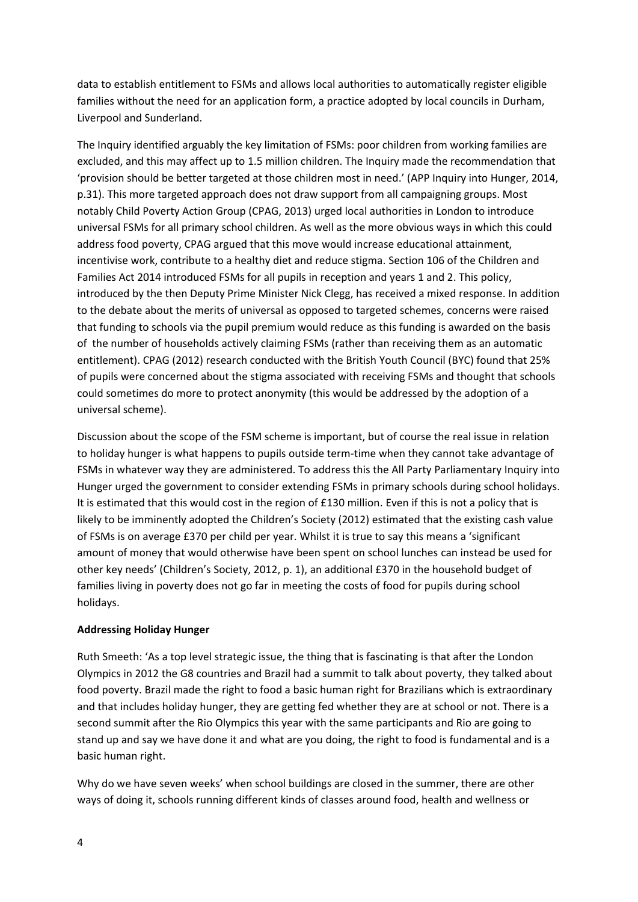data to establish entitlement to FSMs and allows local authorities to automatically register eligible families without the need for an application form, a practice adopted by local councils in Durham, Liverpool and Sunderland.

The Inquiry identified arguably the key limitation of FSMs: poor children from working families are excluded, and this may affect up to 1.5 million children. The Inquiry made the recommendation that 'provision should be better targeted at those children most in need.' (APP Inquiry into Hunger, 2014, p.31). This more targeted approach does not draw support from all campaigning groups. Most notably Child Poverty Action Group (CPAG, 2013) urged local authorities in London to introduce universal FSMs for all primary school children. As well as the more obvious ways in which this could address food poverty, CPAG argued that this move would increase educational attainment, incentivise work, contribute to a healthy diet and reduce stigma. Section 106 of the Children and Families Act 2014 introduced FSMs for all pupils in reception and years 1 and 2. This policy, introduced by the then Deputy Prime Minister Nick Clegg, has received a mixed response. In addition to the debate about the merits of universal as opposed to targeted schemes, concerns were raised that funding to schools via the pupil premium would reduce as this funding is awarded on the basis of the number of households actively claiming FSMs (rather than receiving them as an automatic entitlement). CPAG (2012) research conducted with the British Youth Council (BYC) found that 25% of pupils were concerned about the stigma associated with receiving FSMs and thought that schools could sometimes do more to protect anonymity (this would be addressed by the adoption of a universal scheme).

Discussion about the scope of the FSM scheme is important, but of course the real issue in relation to holiday hunger is what happens to pupils outside term-time when they cannot take advantage of FSMs in whatever way they are administered. To address this the All Party Parliamentary Inquiry into Hunger urged the government to consider extending FSMs in primary schools during school holidays. It is estimated that this would cost in the region of £130 million. Even if this is not a policy that is likely to be imminently adopted the Children's Society (2012) estimated that the existing cash value of FSMs is on average £370 per child per year. Whilst it is true to say this means a 'significant amount of money that would otherwise have been spent on school lunches can instead be used for other key needs' (Children's Society, 2012, p. 1), an additional £370 in the household budget of families living in poverty does not go far in meeting the costs of food for pupils during school holidays.

# **Addressing Holiday Hunger**

Ruth Smeeth: 'As a top level strategic issue, the thing that is fascinating is that after the London Olympics in 2012 the G8 countries and Brazil had a summit to talk about poverty, they talked about food poverty. Brazil made the right to food a basic human right for Brazilians which is extraordinary and that includes holiday hunger, they are getting fed whether they are at school or not. There is a second summit after the Rio Olympics this year with the same participants and Rio are going to stand up and say we have done it and what are you doing, the right to food is fundamental and is a basic human right.

Why do we have seven weeks' when school buildings are closed in the summer, there are other ways of doing it, schools running different kinds of classes around food, health and wellness or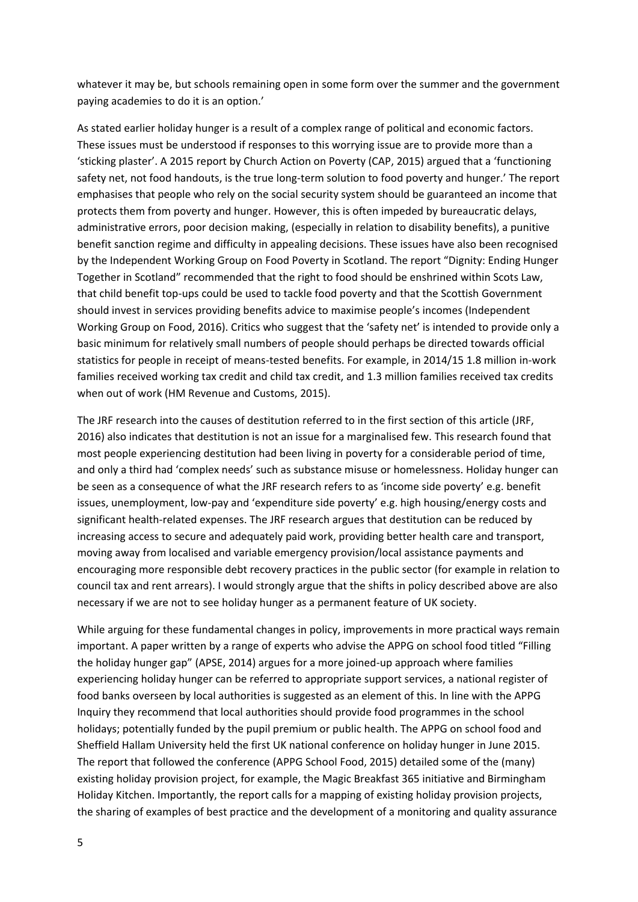whatever it may be, but schools remaining open in some form over the summer and the government paying academies to do it is an option.'

As stated earlier holiday hunger is a result of a complex range of political and economic factors. These issues must be understood if responses to this worrying issue are to provide more than a 'sticking plaster'. A 2015 report by Church Action on Poverty (CAP, 2015) argued that a 'functioning safety net, not food handouts, is the true long-term solution to food poverty and hunger.' The report emphasises that people who rely on the social security system should be guaranteed an income that protects them from poverty and hunger. However, this is often impeded by bureaucratic delays, administrative errors, poor decision making, (especially in relation to disability benefits), a punitive benefit sanction regime and difficulty in appealing decisions. These issues have also been recognised by the Independent Working Group on Food Poverty in Scotland. The report "Dignity: Ending Hunger Together in Scotland" recommended that the right to food should be enshrined within Scots Law, that child benefit top-ups could be used to tackle food poverty and that the Scottish Government should invest in services providing benefits advice to maximise people's incomes (Independent Working Group on Food, 2016). Critics who suggest that the 'safety net' is intended to provide only a basic minimum for relatively small numbers of people should perhaps be directed towards official statistics for people in receipt of means-tested benefits. For example, in 2014/15 1.8 million in-work families received working tax credit and child tax credit, and 1.3 million families received tax credits when out of work (HM Revenue and Customs, 2015).

The JRF research into the causes of destitution referred to in the first section of this article (JRF, 2016) also indicates that destitution is not an issue for a marginalised few. This research found that most people experiencing destitution had been living in poverty for a considerable period of time, and only a third had 'complex needs' such as substance misuse or homelessness. Holiday hunger can be seen as a consequence of what the JRF research refers to as 'income side poverty' e.g. benefit issues, unemployment, low-pay and 'expenditure side poverty' e.g. high housing/energy costs and significant health-related expenses. The JRF research argues that destitution can be reduced by increasing access to secure and adequately paid work, providing better health care and transport, moving away from localised and variable emergency provision/local assistance payments and encouraging more responsible debt recovery practices in the public sector (for example in relation to council tax and rent arrears). I would strongly argue that the shifts in policy described above are also necessary if we are not to see holiday hunger as a permanent feature of UK society.

While arguing for these fundamental changes in policy, improvements in more practical ways remain important. A paper written by a range of experts who advise the APPG on school food titled "Filling the holiday hunger gap" (APSE, 2014) argues for a more joined-up approach where families experiencing holiday hunger can be referred to appropriate support services, a national register of food banks overseen by local authorities is suggested as an element of this. In line with the APPG Inquiry they recommend that local authorities should provide food programmes in the school holidays; potentially funded by the pupil premium or public health. The APPG on school food and Sheffield Hallam University held the first UK national conference on holiday hunger in June 2015. The report that followed the conference (APPG School Food, 2015) detailed some of the (many) existing holiday provision project, for example, the Magic Breakfast 365 initiative and Birmingham Holiday Kitchen. Importantly, the report calls for a mapping of existing holiday provision projects, the sharing of examples of best practice and the development of a monitoring and quality assurance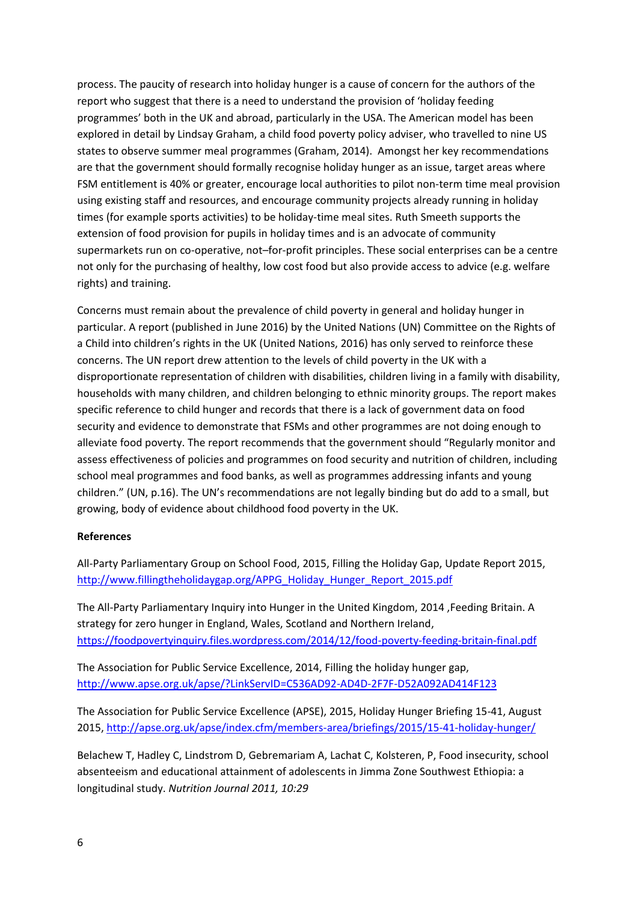process. The paucity of research into holiday hunger is a cause of concern for the authors of the report who suggest that there is a need to understand the provision of 'holiday feeding programmes' both in the UK and abroad, particularly in the USA. The American model has been explored in detail by Lindsay Graham, a child food poverty policy adviser, who travelled to nine US states to observe summer meal programmes (Graham, 2014). Amongst her key recommendations are that the government should formally recognise holiday hunger as an issue, target areas where FSM entitlement is 40% or greater, encourage local authorities to pilot non-term time meal provision using existing staff and resources, and encourage community projects already running in holiday times (for example sports activities) to be holiday-time meal sites. Ruth Smeeth supports the extension of food provision for pupils in holiday times and is an advocate of community supermarkets run on co-operative, not–for-profit principles. These social enterprises can be a centre not only for the purchasing of healthy, low cost food but also provide access to advice (e.g. welfare rights) and training.

Concerns must remain about the prevalence of child poverty in general and holiday hunger in particular. A report (published in June 2016) by the United Nations (UN) Committee on the Rights of a Child into children's rights in the UK (United Nations, 2016) has only served to reinforce these concerns. The UN report drew attention to the levels of child poverty in the UK with a disproportionate representation of children with disabilities, children living in a family with disability, households with many children, and children belonging to ethnic minority groups. The report makes specific reference to child hunger and records that there is a lack of government data on food security and evidence to demonstrate that FSMs and other programmes are not doing enough to alleviate food poverty. The report recommends that the government should "Regularly monitor and assess effectiveness of policies and programmes on food security and nutrition of children, including school meal programmes and food banks, as well as programmes addressing infants and young children." (UN, p.16). The UN's recommendations are not legally binding but do add to a small, but growing, body of evidence about childhood food poverty in the UK.

## **References**

All-Party Parliamentary Group on School Food, 2015, Filling the Holiday Gap, Update Report 2015, [http://www.fillingtheholidaygap.org/APPG\\_Holiday\\_Hunger\\_Report\\_2015.pdf](http://www.fillingtheholidaygap.org/APPG_Holiday_Hunger_Report_2015.pdf)

The All-Party Parliamentary Inquiry into Hunger in the United Kingdom, 2014 ,Feeding Britain. A strategy for zero hunger in England, Wales, Scotland and Northern Ireland, <https://foodpovertyinquiry.files.wordpress.com/2014/12/food-poverty-feeding-britain-final.pdf>

The Association for Public Service Excellence, 2014, Filling the holiday hunger gap, <http://www.apse.org.uk/apse/?LinkServID=C536AD92-AD4D-2F7F-D52A092AD414F123>

The Association for Public Service Excellence (APSE), 2015, Holiday Hunger Briefing 15-41, August 2015, <http://apse.org.uk/apse/index.cfm/members-area/briefings/2015/15-41-holiday-hunger/>

Belachew T, Hadley C, Lindstrom D, Gebremariam A, Lachat C, Kolsteren, P, Food insecurity, school absenteeism and educational attainment of adolescents in Jimma Zone Southwest Ethiopia: a longitudinal study. *Nutrition Journal 2011, 10:29*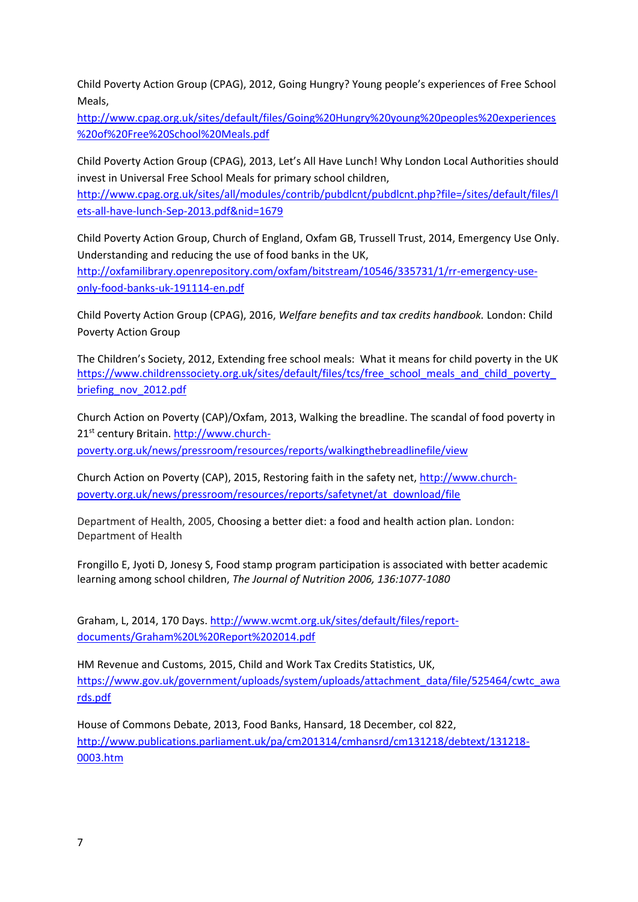Child Poverty Action Group (CPAG), 2012, Going Hungry? Young people's experiences of Free School Meals,

[http://www.cpag.org.uk/sites/default/files/Going%20Hungry%20young%20peoples%20experiences](http://www.cpag.org.uk/sites/default/files/Going%20Hungry%20young%20peoples%20experiences%20of%20Free%20School%20Meals.pdf) [%20of%20Free%20School%20Meals.pdf](http://www.cpag.org.uk/sites/default/files/Going%20Hungry%20young%20peoples%20experiences%20of%20Free%20School%20Meals.pdf)

Child Poverty Action Group (CPAG), 2013, Let's All Have Lunch! Why London Local Authorities should invest in Universal Free School Meals for primary school children,

[http://www.cpag.org.uk/sites/all/modules/contrib/pubdlcnt/pubdlcnt.php?file=/sites/default/files/l](http://www.cpag.org.uk/sites/all/modules/contrib/pubdlcnt/pubdlcnt.php?file=/sites/default/files/lets-all-have-lunch-Sep-2013.pdf&nid=1679) [ets-all-have-lunch-Sep-2013.pdf&nid=1679](http://www.cpag.org.uk/sites/all/modules/contrib/pubdlcnt/pubdlcnt.php?file=/sites/default/files/lets-all-have-lunch-Sep-2013.pdf&nid=1679)

Child Poverty Action Group, Church of England, Oxfam GB, Trussell Trust, 2014, Emergency Use Only. Understanding and reducing the use of food banks in the UK,

[http://oxfamilibrary.openrepository.com/oxfam/bitstream/10546/335731/1/rr-emergency-use](http://oxfamilibrary.openrepository.com/oxfam/bitstream/10546/335731/1/rr-emergency-use-only-food-banks-uk-191114-en.pdf)[only-food-banks-uk-191114-en.pdf](http://oxfamilibrary.openrepository.com/oxfam/bitstream/10546/335731/1/rr-emergency-use-only-food-banks-uk-191114-en.pdf)

Child Poverty Action Group (CPAG), 2016, *Welfare benefits and tax credits handbook.* London: Child Poverty Action Group

The Children's Society, 2012, Extending free school meals: What it means for child poverty in the UK [https://www.childrenssociety.org.uk/sites/default/files/tcs/free\\_school\\_meals\\_and\\_child\\_poverty\\_](https://www.childrenssociety.org.uk/sites/default/files/tcs/free_school_meals_and_child_poverty_briefing_nov_2012.pdf) [briefing\\_nov\\_2012.pdf](https://www.childrenssociety.org.uk/sites/default/files/tcs/free_school_meals_and_child_poverty_briefing_nov_2012.pdf)

Church Action on Poverty (CAP)/Oxfam, 2013, Walking the breadline. The scandal of food poverty in 21<sup>st</sup> century Britain. [http://www.church-](http://www.church-poverty.org.uk/news/pressroom/resources/reports/walkingthebreadlinefile/view)

[poverty.org.uk/news/pressroom/resources/reports/walkingthebreadlinefile/view](http://www.church-poverty.org.uk/news/pressroom/resources/reports/walkingthebreadlinefile/view)

Church Action on Poverty (CAP), 2015, Restoring faith in the safety net, [http://www.church](http://www.church-poverty.org.uk/news/pressroom/resources/reports/safetynet/at_download/file)[poverty.org.uk/news/pressroom/resources/reports/safetynet/at\\_download/file](http://www.church-poverty.org.uk/news/pressroom/resources/reports/safetynet/at_download/file)

Department of Health, 2005, Choosing a better diet: a food and health action plan. London: Department of Health

Frongillo E, Jyoti D, Jonesy S, Food stamp program participation is associated with better academic learning among school children, *The Journal of Nutrition 2006, 136:1077-1080*

Graham, L, 2014, 170 Days. [http://www.wcmt.org.uk/sites/default/files/report](http://www.wcmt.org.uk/sites/default/files/report-documents/Graham%20L%20Report%202014.pdf)[documents/Graham%20L%20Report%202014.pdf](http://www.wcmt.org.uk/sites/default/files/report-documents/Graham%20L%20Report%202014.pdf)

HM Revenue and Customs, 2015, Child and Work Tax Credits Statistics, UK, [https://www.gov.uk/government/uploads/system/uploads/attachment\\_data/file/525464/cwtc\\_awa](https://www.gov.uk/government/uploads/system/uploads/attachment_data/file/525464/cwtc_awards.pdf) [rds.pdf](https://www.gov.uk/government/uploads/system/uploads/attachment_data/file/525464/cwtc_awards.pdf)

House of Commons Debate, 2013, Food Banks, Hansard, 18 December, col 822, [http://www.publications.parliament.uk/pa/cm201314/cmhansrd/cm131218/debtext/131218-](http://www.publications.parliament.uk/pa/cm201314/cmhansrd/cm131218/debtext/131218-0003.htm) [0003.htm](http://www.publications.parliament.uk/pa/cm201314/cmhansrd/cm131218/debtext/131218-0003.htm)